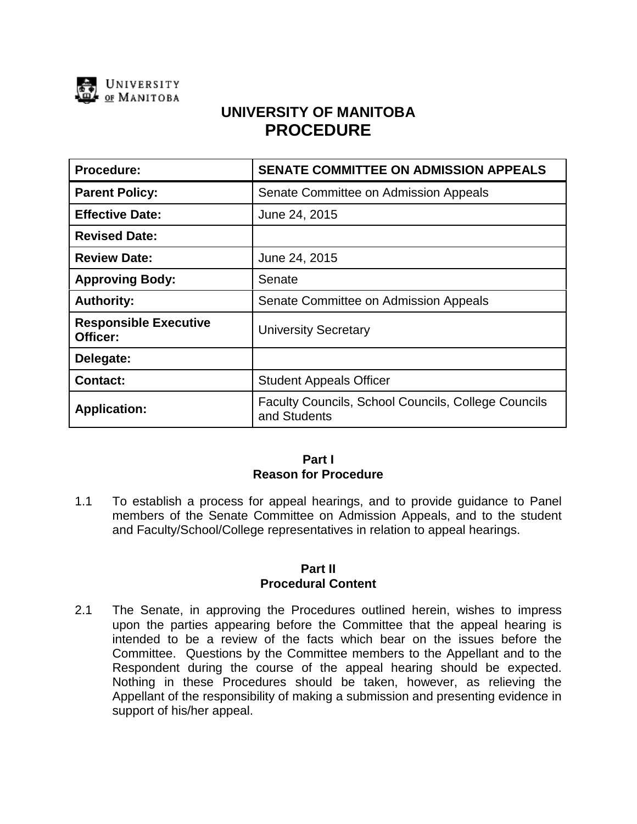

# **UNIVERSITY OF MANITOBA PROCEDURE**

| Procedure:                               | <b>SENATE COMMITTEE ON ADMISSION APPEALS</b>                               |
|------------------------------------------|----------------------------------------------------------------------------|
| <b>Parent Policy:</b>                    | Senate Committee on Admission Appeals                                      |
| <b>Effective Date:</b>                   | June 24, 2015                                                              |
| <b>Revised Date:</b>                     |                                                                            |
| <b>Review Date:</b>                      | June 24, 2015                                                              |
| <b>Approving Body:</b>                   | Senate                                                                     |
| <b>Authority:</b>                        | Senate Committee on Admission Appeals                                      |
| <b>Responsible Executive</b><br>Officer: | <b>University Secretary</b>                                                |
| Delegate:                                |                                                                            |
| <b>Contact:</b>                          | <b>Student Appeals Officer</b>                                             |
| <b>Application:</b>                      | <b>Faculty Councils, School Councils, College Councils</b><br>and Students |

## **Part I Reason for Procedure**

1.1 To establish a process for appeal hearings, and to provide guidance to Panel members of the Senate Committee on Admission Appeals, and to the student and Faculty/School/College representatives in relation to appeal hearings.

#### **Part II Procedural Content**

2.1 The Senate, in approving the Procedures outlined herein, wishes to impress upon the parties appearing before the Committee that the appeal hearing is intended to be a review of the facts which bear on the issues before the Committee. Questions by the Committee members to the Appellant and to the Respondent during the course of the appeal hearing should be expected. Nothing in these Procedures should be taken, however, as relieving the Appellant of the responsibility of making a submission and presenting evidence in support of his/her appeal.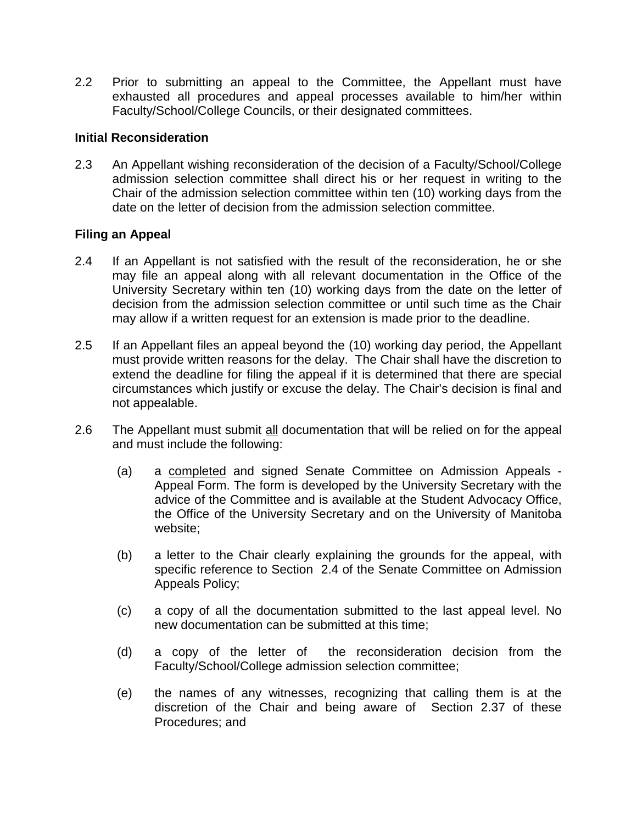2.2 Prior to submitting an appeal to the Committee, the Appellant must have exhausted all procedures and appeal processes available to him/her within Faculty/School/College Councils, or their designated committees.

#### **Initial Reconsideration**

2.3 An Appellant wishing reconsideration of the decision of a Faculty/School/College admission selection committee shall direct his or her request in writing to the Chair of the admission selection committee within ten (10) working days from the date on the letter of decision from the admission selection committee.

## **Filing an Appeal**

- 2.4 If an Appellant is not satisfied with the result of the reconsideration, he or she may file an appeal along with all relevant documentation in the Office of the University Secretary within ten (10) working days from the date on the letter of decision from the admission selection committee or until such time as the Chair may allow if a written request for an extension is made prior to the deadline.
- 2.5 If an Appellant files an appeal beyond the (10) working day period, the Appellant must provide written reasons for the delay. The Chair shall have the discretion to extend the deadline for filing the appeal if it is determined that there are special circumstances which justify or excuse the delay. The Chair's decision is final and not appealable.
- 2.6 The Appellant must submit all documentation that will be relied on for the appeal and must include the following:
	- (a) a completed and signed Senate Committee on Admission Appeals Appeal Form. The form is developed by the University Secretary with the advice of the Committee and is available at the Student Advocacy Office, the Office of the University Secretary and on the University of Manitoba website;
	- (b) a letter to the Chair clearly explaining the grounds for the appeal, with specific reference to Section 2.4 of the Senate Committee on Admission Appeals Policy;
	- (c) a copy of all the documentation submitted to the last appeal level. No new documentation can be submitted at this time;
	- (d) a copy of the letter of the reconsideration decision from the Faculty/School/College admission selection committee;
	- (e) the names of any witnesses, recognizing that calling them is at the discretion of the Chair and being aware of Section 2.37 of these Procedures; and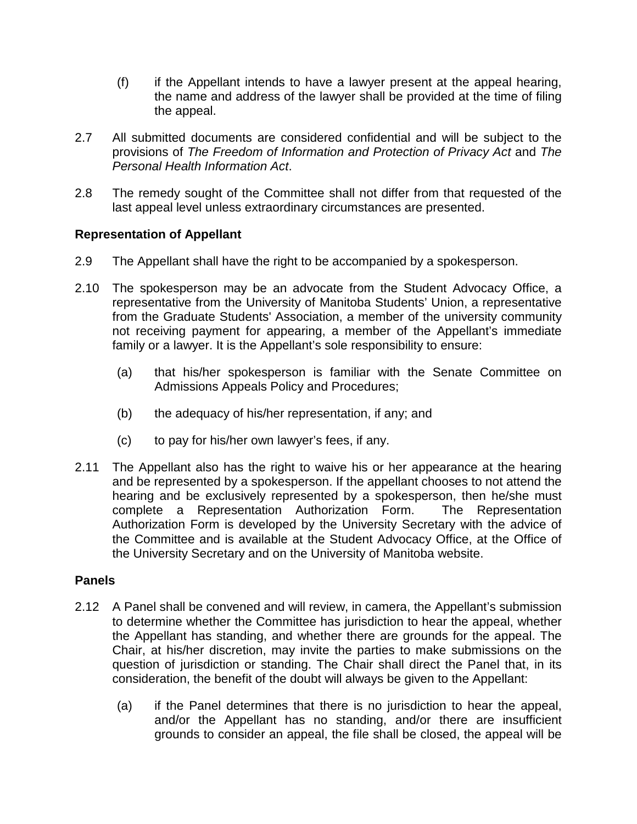- (f) if the Appellant intends to have a lawyer present at the appeal hearing, the name and address of the lawyer shall be provided at the time of filing the appeal.
- 2.7 All submitted documents are considered confidential and will be subject to the provisions of *The Freedom of Information and Protection of Privacy Act* and *The Personal Health Information Act*.
- 2.8 The remedy sought of the Committee shall not differ from that requested of the last appeal level unless extraordinary circumstances are presented.

# **Representation of Appellant**

- 2.9 The Appellant shall have the right to be accompanied by a spokesperson.
- 2.10 The spokesperson may be an advocate from the Student Advocacy Office, a representative from the University of Manitoba Students' Union, a representative from the Graduate Students' Association, a member of the university community not receiving payment for appearing, a member of the Appellant's immediate family or a lawyer. It is the Appellant's sole responsibility to ensure:
	- (a) that his/her spokesperson is familiar with the Senate Committee on Admissions Appeals Policy and Procedures;
	- (b) the adequacy of his/her representation, if any; and
	- (c) to pay for his/her own lawyer's fees, if any.
- 2.11 The Appellant also has the right to waive his or her appearance at the hearing and be represented by a spokesperson. If the appellant chooses to not attend the hearing and be exclusively represented by a spokesperson, then he/she must complete a Representation Authorization Form. The Representation Authorization Form is developed by the University Secretary with the advice of the Committee and is available at the Student Advocacy Office, at the Office of the University Secretary and on the University of Manitoba website.

## **Panels**

- 2.12 A Panel shall be convened and will review, in camera, the Appellant's submission to determine whether the Committee has jurisdiction to hear the appeal, whether the Appellant has standing, and whether there are grounds for the appeal. The Chair, at his/her discretion, may invite the parties to make submissions on the question of jurisdiction or standing. The Chair shall direct the Panel that, in its consideration, the benefit of the doubt will always be given to the Appellant:
	- (a) if the Panel determines that there is no jurisdiction to hear the appeal, and/or the Appellant has no standing, and/or there are insufficient grounds to consider an appeal, the file shall be closed, the appeal will be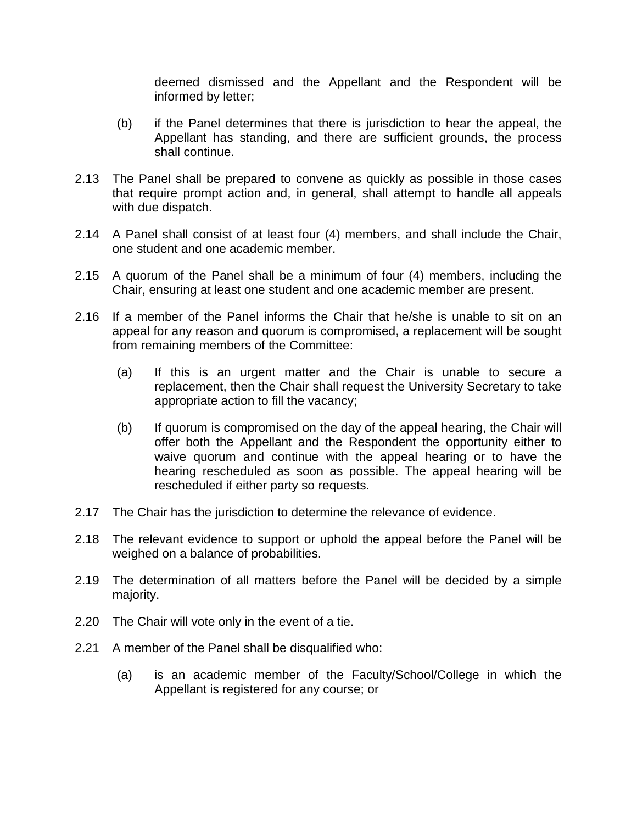deemed dismissed and the Appellant and the Respondent will be informed by letter;

- (b) if the Panel determines that there is jurisdiction to hear the appeal, the Appellant has standing, and there are sufficient grounds, the process shall continue.
- 2.13 The Panel shall be prepared to convene as quickly as possible in those cases that require prompt action and, in general, shall attempt to handle all appeals with due dispatch.
- 2.14 A Panel shall consist of at least four (4) members, and shall include the Chair, one student and one academic member.
- 2.15 A quorum of the Panel shall be a minimum of four (4) members, including the Chair, ensuring at least one student and one academic member are present.
- 2.16 If a member of the Panel informs the Chair that he/she is unable to sit on an appeal for any reason and quorum is compromised, a replacement will be sought from remaining members of the Committee:
	- (a) If this is an urgent matter and the Chair is unable to secure a replacement, then the Chair shall request the University Secretary to take appropriate action to fill the vacancy;
	- (b) If quorum is compromised on the day of the appeal hearing, the Chair will offer both the Appellant and the Respondent the opportunity either to waive quorum and continue with the appeal hearing or to have the hearing rescheduled as soon as possible. The appeal hearing will be rescheduled if either party so requests.
- 2.17 The Chair has the jurisdiction to determine the relevance of evidence.
- 2.18 The relevant evidence to support or uphold the appeal before the Panel will be weighed on a balance of probabilities.
- 2.19 The determination of all matters before the Panel will be decided by a simple majority.
- 2.20 The Chair will vote only in the event of a tie.
- 2.21 A member of the Panel shall be disqualified who:
	- (a) is an academic member of the Faculty/School/College in which the Appellant is registered for any course; or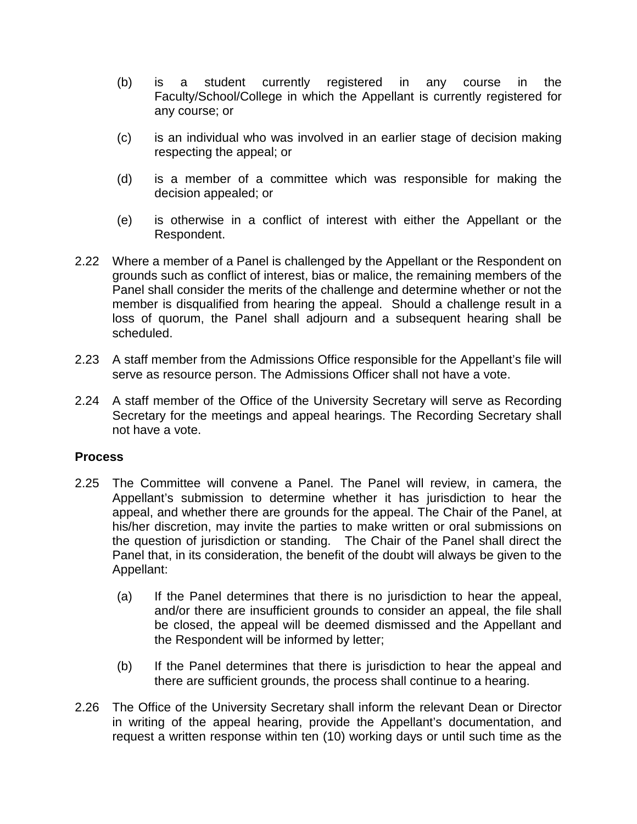- (b) is a student currently registered in any course in the Faculty/School/College in which the Appellant is currently registered for any course; or
- (c) is an individual who was involved in an earlier stage of decision making respecting the appeal; or
- (d) is a member of a committee which was responsible for making the decision appealed; or
- (e) is otherwise in a conflict of interest with either the Appellant or the Respondent.
- 2.22 Where a member of a Panel is challenged by the Appellant or the Respondent on grounds such as conflict of interest, bias or malice, the remaining members of the Panel shall consider the merits of the challenge and determine whether or not the member is disqualified from hearing the appeal. Should a challenge result in a loss of quorum, the Panel shall adjourn and a subsequent hearing shall be scheduled.
- 2.23 A staff member from the Admissions Office responsible for the Appellant's file will serve as resource person. The Admissions Officer shall not have a vote.
- 2.24 A staff member of the Office of the University Secretary will serve as Recording Secretary for the meetings and appeal hearings. The Recording Secretary shall not have a vote.

## **Process**

- 2.25 The Committee will convene a Panel. The Panel will review, in camera, the Appellant's submission to determine whether it has jurisdiction to hear the appeal, and whether there are grounds for the appeal. The Chair of the Panel, at his/her discretion, may invite the parties to make written or oral submissions on the question of jurisdiction or standing. The Chair of the Panel shall direct the Panel that, in its consideration, the benefit of the doubt will always be given to the Appellant:
	- (a) If the Panel determines that there is no jurisdiction to hear the appeal, and/or there are insufficient grounds to consider an appeal, the file shall be closed, the appeal will be deemed dismissed and the Appellant and the Respondent will be informed by letter;
	- (b) If the Panel determines that there is jurisdiction to hear the appeal and there are sufficient grounds, the process shall continue to a hearing.
- 2.26 The Office of the University Secretary shall inform the relevant Dean or Director in writing of the appeal hearing, provide the Appellant's documentation, and request a written response within ten (10) working days or until such time as the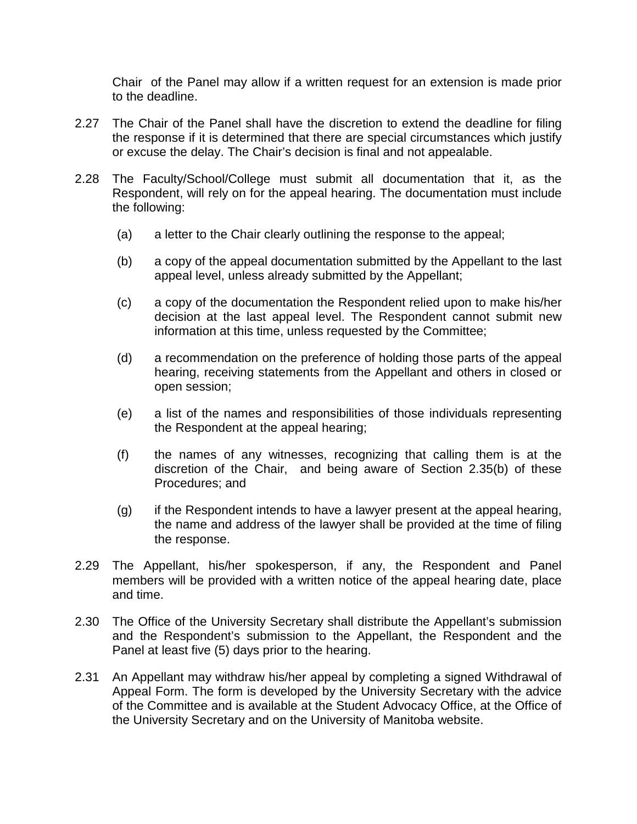Chair of the Panel may allow if a written request for an extension is made prior to the deadline.

- 2.27 The Chair of the Panel shall have the discretion to extend the deadline for filing the response if it is determined that there are special circumstances which justify or excuse the delay. The Chair's decision is final and not appealable.
- 2.28 The Faculty/School/College must submit all documentation that it, as the Respondent, will rely on for the appeal hearing. The documentation must include the following:
	- (a) a letter to the Chair clearly outlining the response to the appeal;
	- (b) a copy of the appeal documentation submitted by the Appellant to the last appeal level, unless already submitted by the Appellant;
	- (c) a copy of the documentation the Respondent relied upon to make his/her decision at the last appeal level. The Respondent cannot submit new information at this time, unless requested by the Committee;
	- (d) a recommendation on the preference of holding those parts of the appeal hearing, receiving statements from the Appellant and others in closed or open session;
	- (e) a list of the names and responsibilities of those individuals representing the Respondent at the appeal hearing;
	- (f) the names of any witnesses, recognizing that calling them is at the discretion of the Chair, and being aware of Section 2.35(b) of these Procedures; and
	- (g) if the Respondent intends to have a lawyer present at the appeal hearing, the name and address of the lawyer shall be provided at the time of filing the response.
- 2.29 The Appellant, his/her spokesperson, if any, the Respondent and Panel members will be provided with a written notice of the appeal hearing date, place and time.
- 2.30 The Office of the University Secretary shall distribute the Appellant's submission and the Respondent's submission to the Appellant, the Respondent and the Panel at least five (5) days prior to the hearing.
- 2.31 An Appellant may withdraw his/her appeal by completing a signed Withdrawal of Appeal Form. The form is developed by the University Secretary with the advice of the Committee and is available at the Student Advocacy Office, at the Office of the University Secretary and on the University of Manitoba website.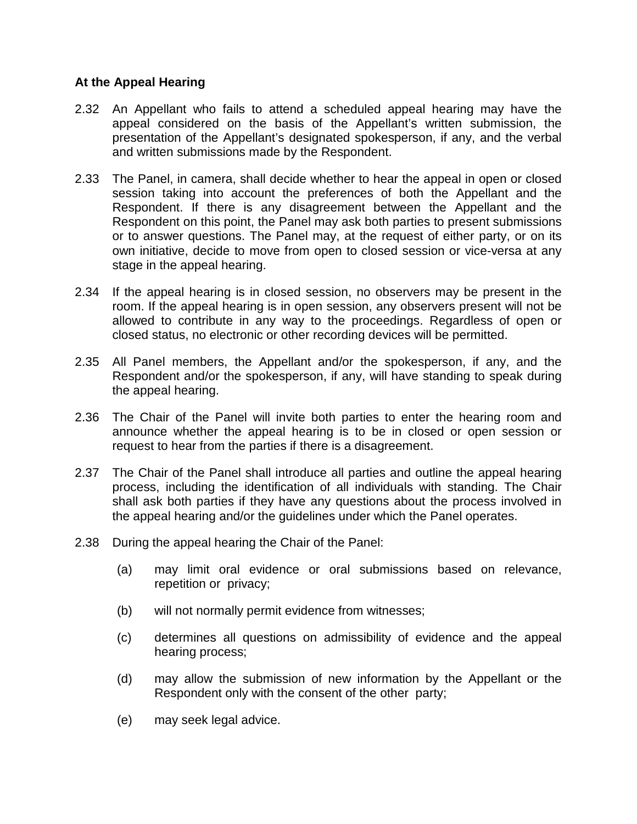## **At the Appeal Hearing**

- 2.32 An Appellant who fails to attend a scheduled appeal hearing may have the appeal considered on the basis of the Appellant's written submission, the presentation of the Appellant's designated spokesperson, if any, and the verbal and written submissions made by the Respondent.
- 2.33 The Panel, in camera, shall decide whether to hear the appeal in open or closed session taking into account the preferences of both the Appellant and the Respondent. If there is any disagreement between the Appellant and the Respondent on this point, the Panel may ask both parties to present submissions or to answer questions. The Panel may, at the request of either party, or on its own initiative, decide to move from open to closed session or vice-versa at any stage in the appeal hearing.
- 2.34 If the appeal hearing is in closed session, no observers may be present in the room. If the appeal hearing is in open session, any observers present will not be allowed to contribute in any way to the proceedings. Regardless of open or closed status, no electronic or other recording devices will be permitted.
- 2.35 All Panel members, the Appellant and/or the spokesperson, if any, and the Respondent and/or the spokesperson, if any, will have standing to speak during the appeal hearing.
- 2.36 The Chair of the Panel will invite both parties to enter the hearing room and announce whether the appeal hearing is to be in closed or open session or request to hear from the parties if there is a disagreement.
- 2.37 The Chair of the Panel shall introduce all parties and outline the appeal hearing process, including the identification of all individuals with standing. The Chair shall ask both parties if they have any questions about the process involved in the appeal hearing and/or the guidelines under which the Panel operates.
- 2.38 During the appeal hearing the Chair of the Panel:
	- (a) may limit oral evidence or oral submissions based on relevance, repetition or privacy;
	- (b) will not normally permit evidence from witnesses;
	- (c) determines all questions on admissibility of evidence and the appeal hearing process;
	- (d) may allow the submission of new information by the Appellant or the Respondent only with the consent of the other party;
	- (e) may seek legal advice.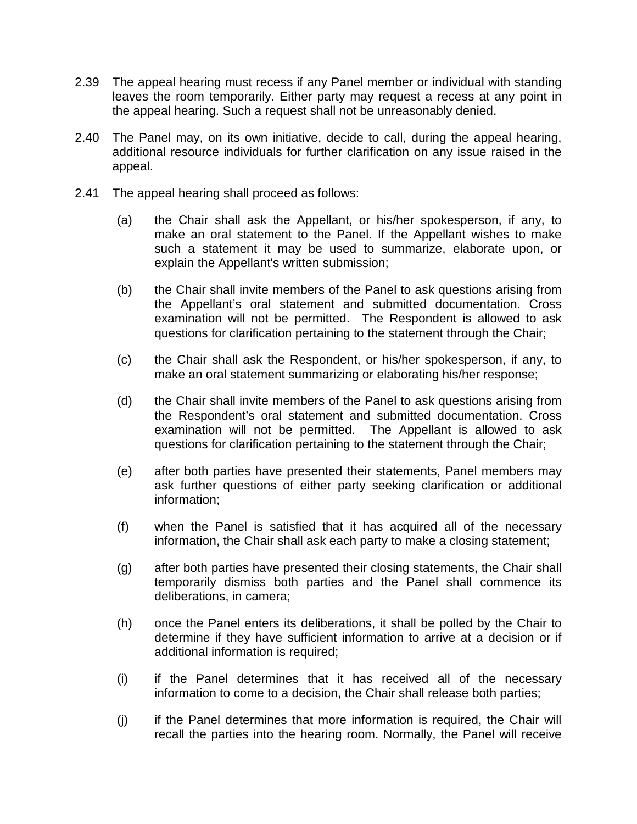- 2.39 The appeal hearing must recess if any Panel member or individual with standing leaves the room temporarily. Either party may request a recess at any point in the appeal hearing. Such a request shall not be unreasonably denied.
- 2.40 The Panel may, on its own initiative, decide to call, during the appeal hearing, additional resource individuals for further clarification on any issue raised in the appeal.
- 2.41 The appeal hearing shall proceed as follows:
	- (a) the Chair shall ask the Appellant, or his/her spokesperson, if any, to make an oral statement to the Panel. If the Appellant wishes to make such a statement it may be used to summarize, elaborate upon, or explain the Appellant's written submission;
	- (b) the Chair shall invite members of the Panel to ask questions arising from the Appellant's oral statement and submitted documentation. Cross examination will not be permitted. The Respondent is allowed to ask questions for clarification pertaining to the statement through the Chair;
	- (c) the Chair shall ask the Respondent, or his/her spokesperson, if any, to make an oral statement summarizing or elaborating his/her response;
	- (d) the Chair shall invite members of the Panel to ask questions arising from the Respondent's oral statement and submitted documentation. Cross examination will not be permitted. The Appellant is allowed to ask questions for clarification pertaining to the statement through the Chair;
	- (e) after both parties have presented their statements, Panel members may ask further questions of either party seeking clarification or additional information;
	- (f) when the Panel is satisfied that it has acquired all of the necessary information, the Chair shall ask each party to make a closing statement;
	- (g) after both parties have presented their closing statements, the Chair shall temporarily dismiss both parties and the Panel shall commence its deliberations, in camera;
	- (h) once the Panel enters its deliberations, it shall be polled by the Chair to determine if they have sufficient information to arrive at a decision or if additional information is required;
	- (i) if the Panel determines that it has received all of the necessary information to come to a decision, the Chair shall release both parties;
	- (j) if the Panel determines that more information is required, the Chair will recall the parties into the hearing room. Normally, the Panel will receive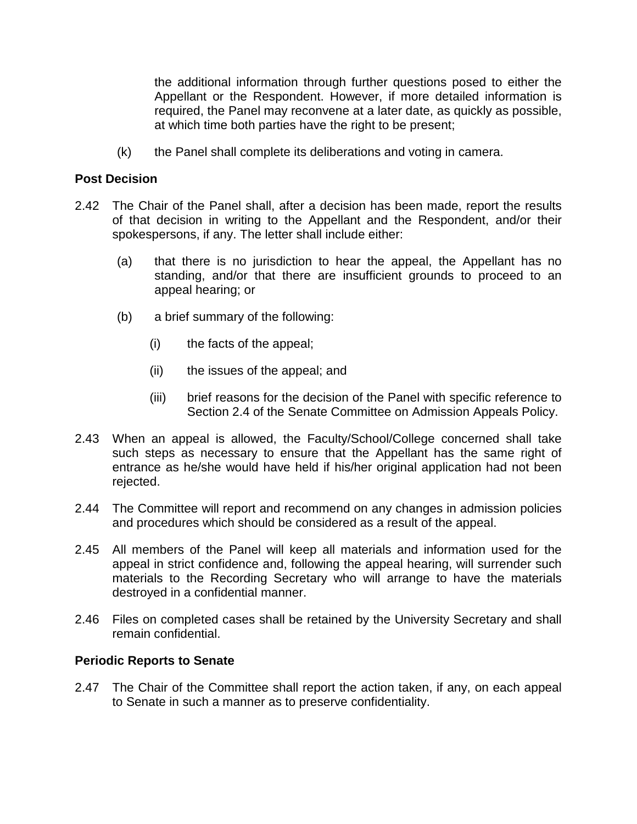the additional information through further questions posed to either the Appellant or the Respondent. However, if more detailed information is required, the Panel may reconvene at a later date, as quickly as possible, at which time both parties have the right to be present;

(k) the Panel shall complete its deliberations and voting in camera.

#### **Post Decision**

- 2.42 The Chair of the Panel shall, after a decision has been made, report the results of that decision in writing to the Appellant and the Respondent, and/or their spokespersons, if any. The letter shall include either:
	- (a) that there is no jurisdiction to hear the appeal, the Appellant has no standing, and/or that there are insufficient grounds to proceed to an appeal hearing; or
	- (b) a brief summary of the following:
		- (i) the facts of the appeal;
		- (ii) the issues of the appeal; and
		- (iii) brief reasons for the decision of the Panel with specific reference to Section 2.4 of the Senate Committee on Admission Appeals Policy.
- 2.43 When an appeal is allowed, the Faculty/School/College concerned shall take such steps as necessary to ensure that the Appellant has the same right of entrance as he/she would have held if his/her original application had not been rejected.
- 2.44 The Committee will report and recommend on any changes in admission policies and procedures which should be considered as a result of the appeal.
- 2.45 All members of the Panel will keep all materials and information used for the appeal in strict confidence and, following the appeal hearing, will surrender such materials to the Recording Secretary who will arrange to have the materials destroyed in a confidential manner.
- 2.46 Files on completed cases shall be retained by the University Secretary and shall remain confidential.

#### **Periodic Reports to Senate**

2.47 The Chair of the Committee shall report the action taken, if any, on each appeal to Senate in such a manner as to preserve confidentiality.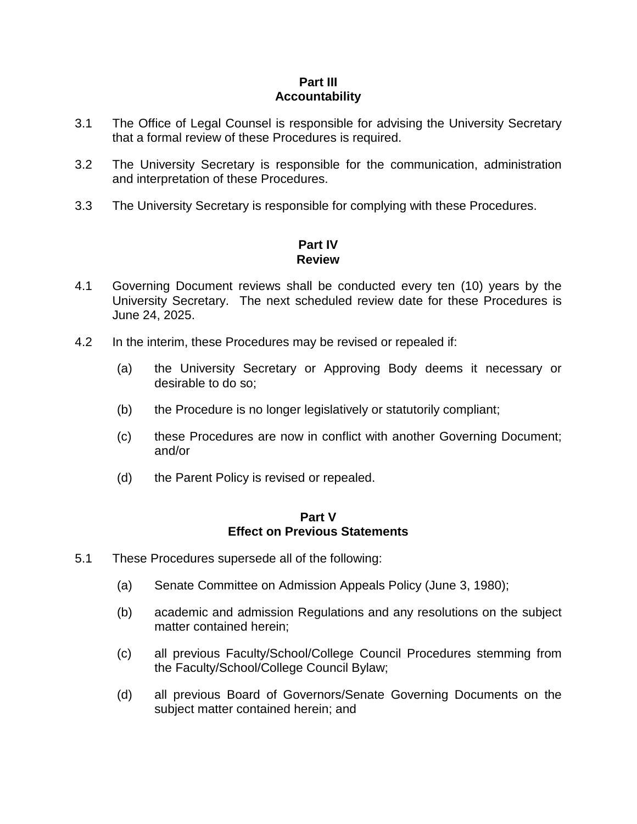#### **Part III Accountability**

- 3.1 The Office of Legal Counsel is responsible for advising the University Secretary that a formal review of these Procedures is required.
- 3.2 The University Secretary is responsible for the communication, administration and interpretation of these Procedures.
- 3.3 The University Secretary is responsible for complying with these Procedures.

# **Part IV Review**

- 4.1 Governing Document reviews shall be conducted every ten (10) years by the University Secretary. The next scheduled review date for these Procedures is June 24, 2025.
- 4.2 In the interim, these Procedures may be revised or repealed if:
	- (a) the University Secretary or Approving Body deems it necessary or desirable to do so;
	- (b) the Procedure is no longer legislatively or statutorily compliant;
	- (c) these Procedures are now in conflict with another Governing Document; and/or
	- (d) the Parent Policy is revised or repealed.

#### **Part V Effect on Previous Statements**

- 5.1 These Procedures supersede all of the following:
	- (a) Senate Committee on Admission Appeals Policy (June 3, 1980);
	- (b) academic and admission Regulations and any resolutions on the subject matter contained herein;
	- (c) all previous Faculty/School/College Council Procedures stemming from the Faculty/School/College Council Bylaw;
	- (d) all previous Board of Governors/Senate Governing Documents on the subject matter contained herein; and